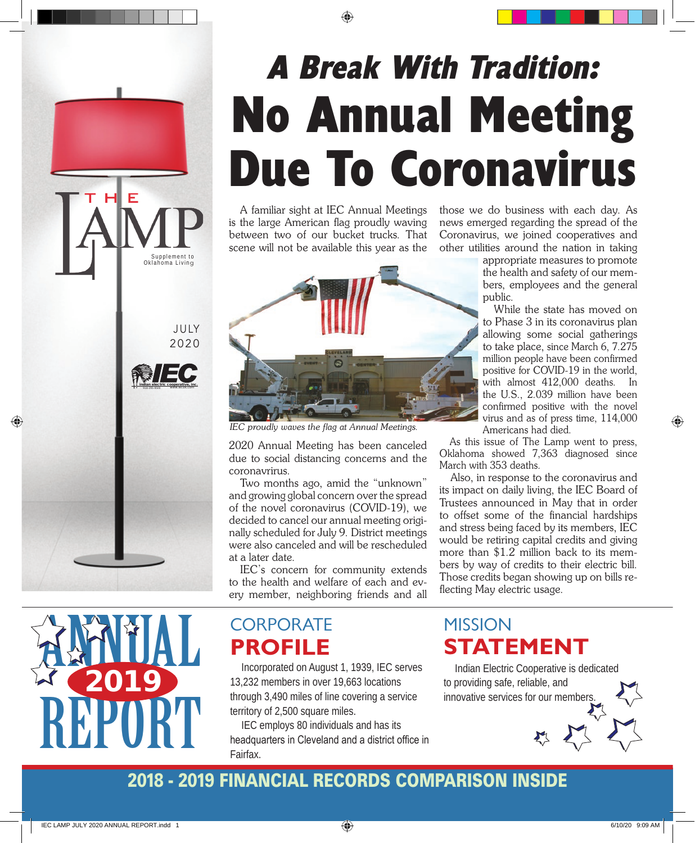# A Break With Tradition: No Annual Meeting Due To Coronavirus

A familiar sight at IEC Annual Meetings is the large American flag proudly waving between two of our bucket trucks. That scene will not be available this year as the



*IEC proudly waves the flag at Annual Meetings.*

2020 Annual Meeting has been canceled due to social distancing concerns and the coronavrirus.

Two months ago, amid the "unknown" and growing global concern over the spread of the novel coronavirus (COVID-19), we decided to cancel our annual meeting originally scheduled for July 9. District meetings were also canceled and will be rescheduled at a later date.

IEC's concern for community extends to the health and welfare of each and every member, neighboring friends and all those we do business with each day. As news emerged regarding the spread of the Coronavirus, we joined cooperatives and other utilities around the nation in taking

> appropriate measures to promote the health and safety of our members, employees and the general public.

> While the state has moved on to Phase 3 in its coronavirus plan allowing some social gatherings to take place, since March 6, 7.275 million people have been confirmed positive for COVID-19 in the world, with almost 412,000 deaths. In the U.S., 2.039 million have been confirmed positive with the novel virus and as of press time, 114,000 Americans had died.

As this issue of The Lamp went to press, Oklahoma showed 7,363 diagnosed since March with 353 deaths.

Also, in response to the coronavirus and its impact on daily living, the IEC Board of Trustees announced in May that in order to offset some of the financial hardships and stress being faced by its members, IEC would be retiring capital credits and giving more than \$1.2 million back to its members by way of credits to their electric bill. Those credits began showing up on bills reflecting May electric usage.



JULY 2020

**indian electric co** 918-295-9500 www.iecok.com

Supplement to<br>Oklahoma Living

HE

## **CORPORATE PROFILE**

Incorporated on August 1, 1939, IEC serves 13,232 members in over 19,663 locations through 3,490 miles of line covering a service territory of 2,500 square miles.

IEC employs 80 individuals and has its headquarters in Cleveland and a district office in Fairfax.

### **MISSION STATEMENT**

Indian Electric Cooperative is dedicated to providing safe, reliable, and innovative services for our members.

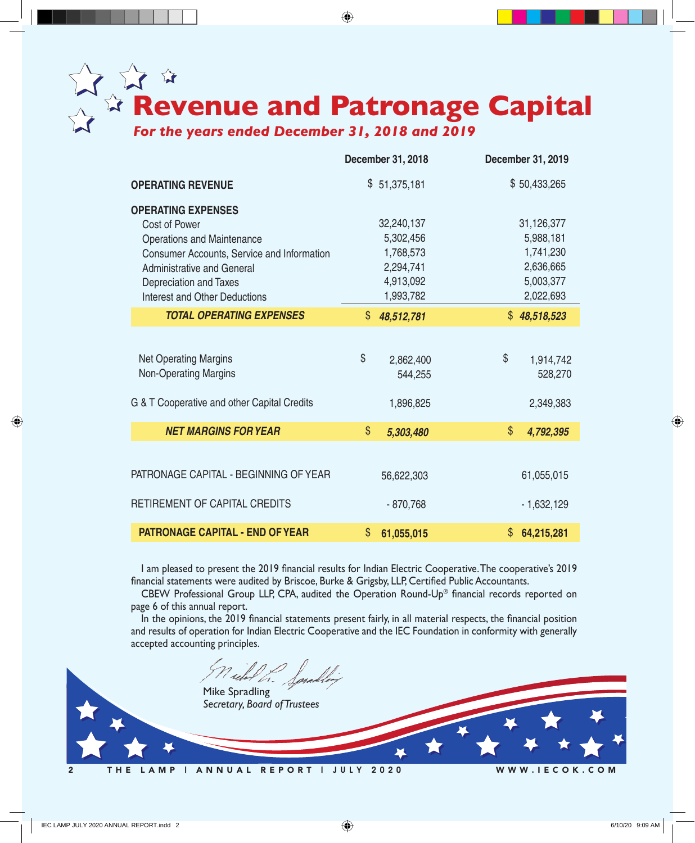

|                                             | <b>December 31, 2018</b> | December 31, 2019 |
|---------------------------------------------|--------------------------|-------------------|
| <b>OPERATING REVENUE</b>                    | \$51,375,181             | \$50,433,265      |
| <b>OPERATING EXPENSES</b>                   |                          |                   |
| Cost of Power                               | 32,240,137               | 31,126,377        |
| <b>Operations and Maintenance</b>           | 5,302,456                | 5,988,181         |
| Consumer Accounts, Service and Information  | 1,768,573                | 1,741,230         |
| <b>Administrative and General</b>           | 2,294,741                | 2,636,665         |
| Depreciation and Taxes                      | 4,913,092                | 5,003,377         |
| Interest and Other Deductions               | 1,993,782                | 2,022,693         |
| <b>TOTAL OPERATING EXPENSES</b>             | \$<br>48,512,781         | \$48,518,523      |
|                                             |                          |                   |
| <b>Net Operating Margins</b>                | \$<br>2,862,400          | \$<br>1,914,742   |
| <b>Non-Operating Margins</b>                | 544,255                  | 528,270           |
|                                             |                          |                   |
| G & T Cooperative and other Capital Credits | 1,896,825                | 2,349,383         |
|                                             |                          |                   |
| <b>NET MARGINS FOR YEAR</b>                 | \$<br>5,303,480          | \$<br>4,792,395   |
|                                             |                          |                   |
| PATRONAGE CAPITAL - BEGINNING OF YEAR       | 56,622,303               | 61,055,015        |
|                                             |                          |                   |
| RETIREMENT OF CAPITAL CREDITS               | $-870,768$               | $-1,632,129$      |
|                                             |                          |                   |
| <b>PATRONAGE CAPITAL - END OF YEAR</b>      | \$<br>61,055,015         | \$<br>64,215,281  |

 I am pleased to present the 2019 financial results for Indian Electric Cooperative.The cooperative's 2019 financial statements were audited by Briscoe, Burke & Grigsby, LLP, Certified Public Accountants.

CBEW Professional Group LLP, CPA, audited the Operation Round-Up® financial records reported on page 6 of this annual report.

In the opinions, the 2019 financial statements present fairly, in all material respects, the financial position and results of operation for Indian Electric Cooperative and the IEC Foundation in conformity with generally accepted accounting principles.

Mike Spradling *Secretary, Board of Trustees*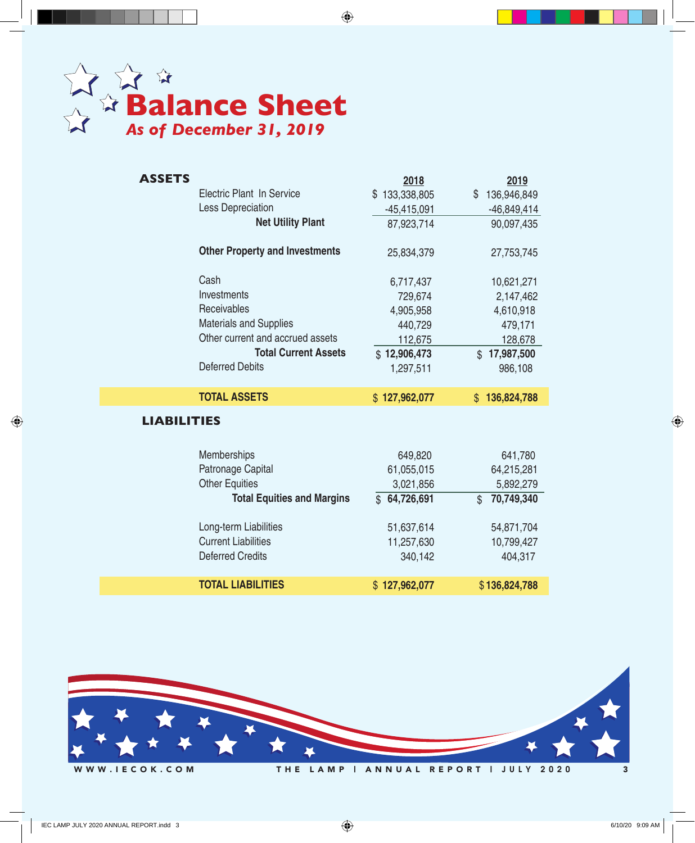

| <b>ASSETS</b>      |                                       | 2018          | 2019                       |
|--------------------|---------------------------------------|---------------|----------------------------|
|                    | <b>Electric Plant In Service</b>      | \$133,338,805 | 136,946,849<br>\$          |
|                    | <b>Less Depreciation</b>              | $-45,415,091$ | $-46,849,414$              |
|                    | <b>Net Utility Plant</b>              | 87,923,714    | 90,097,435                 |
|                    | <b>Other Property and Investments</b> | 25,834,379    | 27,753,745                 |
|                    | Cash                                  | 6,717,437     | 10,621,271                 |
|                    | Investments                           | 729,674       | 2,147,462                  |
|                    | Receivables                           | 4,905,958     | 4,610,918                  |
|                    | <b>Materials and Supplies</b>         | 440,729       | 479,171                    |
|                    | Other current and accrued assets      | 112,675       | 128,678                    |
|                    | <b>Total Current Assets</b>           | \$12,906,473  | \$17,987,500               |
|                    | <b>Deferred Debits</b>                | 1,297,511     | 986,108                    |
|                    |                                       |               |                            |
|                    | <b>TOTAL ASSETS</b>                   | \$127,962,077 | \$136,824,788              |
| <b>LIABILITIES</b> |                                       |               |                            |
|                    | Memberships                           | 649,820       | 641,780                    |
|                    | Patronage Capital                     | 61,055,015    | 64,215,281                 |
|                    | <b>Other Equities</b>                 | 3,021,856     | 5,892,279                  |
|                    | <b>Total Equities and Margins</b>     | \$64,726,691  | 70,749,340<br>$\mathbb{S}$ |
|                    | Long-term Liabilities                 | 51,637,614    | 54,871,704                 |
|                    | <b>Current Liabilities</b>            | 11,257,630    | 10,799,427                 |
|                    | <b>Deferred Credits</b>               | 340,142       | 404,317                    |